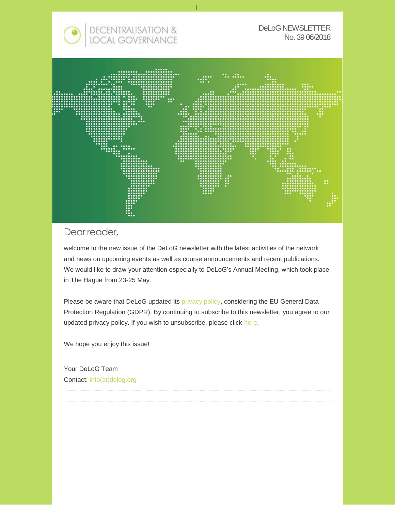

#### Dear reader,

welcome to the new issue of the DeLoG newsletter with the latest activities of the network and news on upcoming events as well as course announcements and recent publications. We would like to draw your attention especially to DeLoG's Annual Meeting, which took place in The Hague from 23-25 May.

Please be aware that DeLoG updated its [privacy policy,](https://delog.org/web/mailster/10328/00000000000000000000000000000000/aHR0cHM6Ly9kZWxvZy5vcmcvd2ViL2ltcHJpbnQv) considering the EU General Data Protection Regulation (GDPR). By continuing to subscribe to this newsletter, you agree to our updated privacy policy. If you wish to unsubscribe, please click [here.](https://delog.org/web/mailster/10328/00000000000000000000000000000000/aHR0cHM6Ly9kZWxvZy5vcmcvd2ViL2RlbG9nLW5sL3Vuc3Vic2NyaWJlLw/1)

We hope you enjoy this issue!

Your DeLoG Team Contact: [info\(at\)delog.org](mailto:info@delog.org)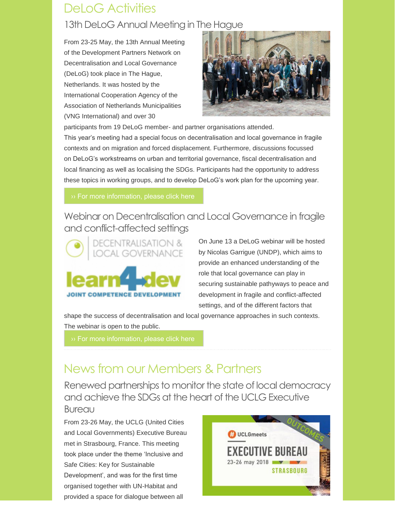# DeLoG Activities

## 13th DeLoG Annual Meeting in The Hague

From 23-25 May, the 13th Annual Meeting of the Development Partners Network on Decentralisation and Local Governance (DeLoG) took place in The Hague, Netherlands. It was hosted by the International Cooperation Agency of the Association of Netherlands Municipalities (VNG International) and over 30

![](_page_1_Picture_3.jpeg)

participants from 19 DeLoG member- and partner organisations attended. This year's meeting had a special focus on decentralisation and local governance in fragile contexts and on migration and forced displacement. Furthermore, discussions focussed on DeLoG's workstreams on urban and territorial governance, fiscal decentralisation and local financing as well as localising the SDGs. Participants had the opportunity to address these topics in working groups, and to develop DeLoG's work plan for the upcoming year.

## Webinar on Decentralisation and Local Governance in fragile and conflict-affected settings

![](_page_1_Picture_7.jpeg)

On June 13 a DeLoG webinar will be hosted by Nicolas Garrigue (UNDP), which aims to provide an enhanced understanding of the role that local governance can play in securing sustainable pathyways to peace and development in fragile and conflict-affected settings, and of the different factors that

shape the success of decentralisation and local governance approaches in such contexts. The webinar is open to the public.

# News from our Members & Partners

Renewed partnerships to monitor the state of local democracy and achieve the SDGs at the heart of the UCLG Executive Bureau

From 23-26 May, the UCLG (United Cities and Local Governments) Executive Bureau met in Strasbourg, France. This meeting took place under the theme 'Inclusive and Safe Cities: Key for Sustainable Development', and was for the first time organised together with UN-Habitat and provided a space for dialogue between all

![](_page_1_Picture_14.jpeg)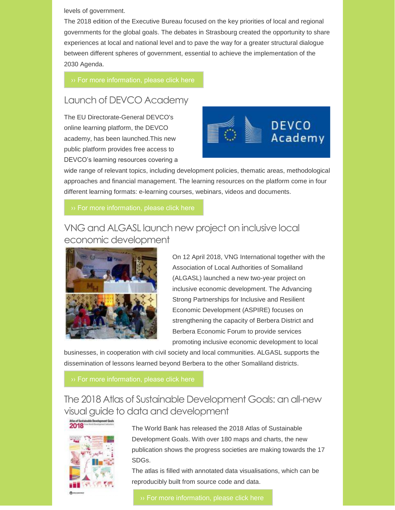levels of government.

The 2018 edition of the Executive Bureau focused on the key priorities of local and regional governments for the global goals. The debates in Strasbourg created the opportunity to share experiences at local and national level and to pave the way for a greater structural dialogue between different spheres of government, essential to achieve the implementation of the 2030 Agenda.

#### Launch of DEVCO Academy

The EU Directorate-General DEVCO's online learning platform, the DEVCO academy, has been launched.This new public platform provides free access to DEVCO's learning resources covering a

![](_page_2_Picture_5.jpeg)

wide range of relevant topics, including development policies, thematic areas, methodological approaches and financial management. The learning resources on the platform come in four different learning formats: e-learning courses, webinars, videos and documents.

#### VNG and ALGASL launch new project on inclusive local economic development

![](_page_2_Picture_9.jpeg)

On 12 April 2018, VNG International together with the Association of Local Authorities of Somaliland (ALGASL) launched a new two-year project on inclusive economic development. The Advancing Strong Partnerships for Inclusive and Resilient Economic Development (ASPIRE) focuses on strengthening the capacity of Berbera District and Berbera Economic Forum to provide services promoting inclusive economic development to local

businesses, in cooperation with civil society and local communities. ALGASL supports the dissemination of lessons learned beyond Berbera to the other Somaliland districts.

The 2018 Atlas of Sustainable Development Goals: an all-new visual guide to data and development

2018

The World Bank has released the 2018 Atlas of Sustainable Development Goals. With over 180 maps and charts, the new publication shows the progress societies are making towards the 17 SDGs.

The atlas is filled with annotated data visualisations, which can be reproducibly built from source code and data.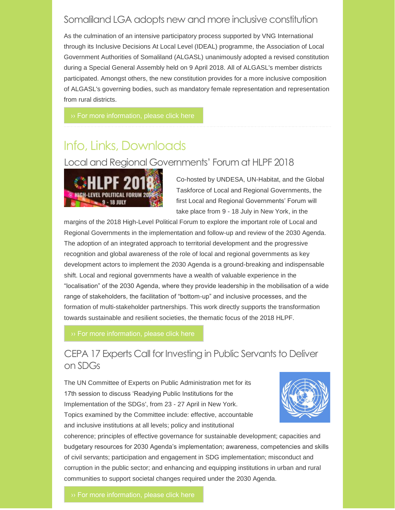## Somaliland LGA adopts new and more inclusive constitution

As the culmination of an intensive participatory process supported by VNG International through its Inclusive Decisions At Local Level (IDEAL) programme, the Association of Local Government Authorities of Somaliland (ALGASL) unanimously adopted a revised constitution during a Special General Assembly held on 9 April 2018. All of ALGASL's member districts participated. Amongst others, the new constitution provides for a more inclusive composition of ALGASL's governing bodies, such as mandatory female representation and representation from rural districts.

## Info, Links, Downloads

#### Local and Regional Governments' Forum at HLPF 2018

![](_page_3_Picture_5.jpeg)

Co-hosted by UNDESA, UN-Habitat, and the Global Taskforce of Local and Regional Governments, the first Local and Regional Governments' Forum will take place from 9 - 18 July in New York, in the

margins of the 2018 High-Level Political Forum to explore the important role of Local and Regional Governments in the implementation and follow-up and review of the 2030 Agenda. The adoption of an integrated approach to territorial development and the progressive recognition and global awareness of the role of local and regional governments as key development actors to implement the 2030 Agenda is a ground-breaking and indispensable shift. Local and regional governments have a wealth of valuable experience in the "localisation" of the 2030 Agenda, where they provide leadership in the mobilisation of a wide range of stakeholders, the facilitation of "bottom-up" and inclusive processes, and the formation of multi-stakeholder partnerships. This work directly supports the transformation towards sustainable and resilient societies, the thematic focus of the 2018 HLPF.

## CEPA 17 Experts Call for Investing in Public Servants to Deliver on SDGs

The UN Committee of Experts on Public Administration met for its 17th session to discuss 'Readying Public Institutions for the Implementation of the SDGs', from 23 - 27 April in New York. Topics examined by the Committee include: effective, accountable and inclusive institutions at all levels; policy and institutional

![](_page_3_Picture_11.jpeg)

coherence; principles of effective governance for sustainable development; capacities and budgetary resources for 2030 Agenda's implementation; awareness, competencies and skills of civil servants; participation and engagement in SDG implementation; misconduct and corruption in the public sector; and enhancing and equipping institutions in urban and rural communities to support societal changes required under the 2030 Agenda.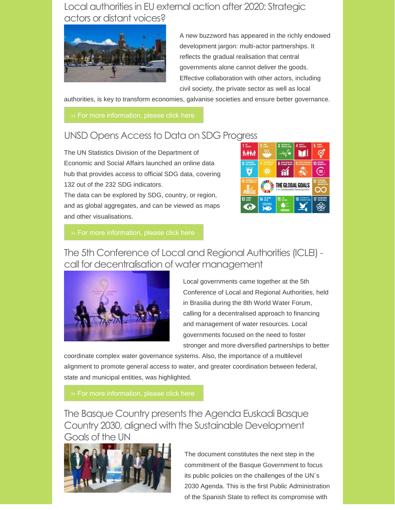## Local authorities in EU external action after 2020: Strategic actors or distant voices?

![](_page_4_Picture_1.jpeg)

A new buzzword has appeared in the richly endowed development jargon: multi-actor partnerships. It reflects the gradual realisation that central governments alone cannot deliver the goods. Effective collaboration with other actors, including civil society, the private sector as well as local

authorities, is key to transform economies, galvanise societies and ensure better governance.

## UNSD Opens Access to Data on SDG Progress

The UN Statistics Division of the Department of Economic and Social Affairs launched an online data hub that provides access to official SDG data, covering 132 out of the 232 SDG indicators. The data can be explored by SDG, country, or region,

and as global aggregates, and can be viewed as maps and other visualisations.

![](_page_4_Picture_8.jpeg)

The 5th Conference of Local and Regional Authorities (ICLEI) call for decentralisation of water management

![](_page_4_Picture_11.jpeg)

Local governments came together at the 5th Conference of Local and Regional Authorities, held in Brasilia during the 8th World Water Forum, calling for a decentralised approach to financing and management of water resources. Local governments focused on the need to foster stronger and more diversified partnerships to better

coordinate complex water governance systems. Also, the importance of a multilevel alignment to promote general access to water, and greater coordination between federal, state and municipal entities, was highlighted.

The Basque Country presents the Agenda Euskadi Basque Country 2030, aligned with the Sustainable Development Goals of the UN

![](_page_4_Picture_16.jpeg)

The document constitutes the next step in the commitment of the Basque Government to focus its public policies on the challenges of the UN´s 2030 Agenda. This is the first Public Administration of the Spanish State to reflect its compromise with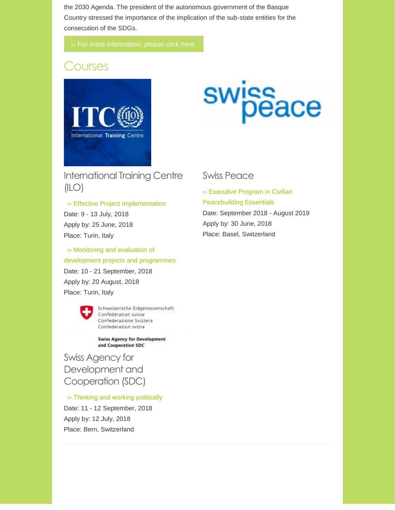the 2030 Agenda. The president of the autonomous government of the Basque Country stressed the importance of the implication of the sub-state entities for the consecution of the SDGs.

## **Courses**

![](_page_5_Picture_3.jpeg)

# swissace

International Training Centre (ILO)

›› Effective Project [Implementation](https://delog.org/web/mailster/10328/00000000000000000000000000000000/aHR0cHM6Ly93d3cuaXRjaWxvLm9yZy9lbi9hcmVhcy1vZi1leHBlcnRpc2UvcHJvamVjdC1hbmQtcHJvZ3JhbW1lLWN5Y2xlLW1hbmFnZW1lbnQvZWZmZWN0aXZlLXByb2plY3QtaW1wbGVtZW50YXRpb24_c2V0X2xhbmd1YWdlPWVu) Date: 9 - 13 July, 2018 Apply by: 25 June, 2018 Place: Turin, Italy

›› [Monitoring and evaluation of](https://delog.org/web/mailster/10328/00000000000000000000000000000000/aHR0cHM6Ly93d3cuaXRjaWxvLm9yZy9lbi9hcmVhcy1vZi1leHBlcnRpc2UvcHJvamVjdC1hbmQtcHJvZ3JhbW1lLWN5Y2xlLW1hbmFnZW1lbnQvbW9uaXRvcmluZy1hbmQtZXZhbHVhdGlvbi1vZi1kZXZlbG9wbWVudC1wcm9qZWN0cz9zZXRfbGFuZ3VhZ2U9ZW4)  [development projects and programmes](https://delog.org/web/mailster/10328/00000000000000000000000000000000/aHR0cHM6Ly93d3cuaXRjaWxvLm9yZy9lbi9hcmVhcy1vZi1leHBlcnRpc2UvcHJvamVjdC1hbmQtcHJvZ3JhbW1lLWN5Y2xlLW1hbmFnZW1lbnQvbW9uaXRvcmluZy1hbmQtZXZhbHVhdGlvbi1vZi1kZXZlbG9wbWVudC1wcm9qZWN0cz9zZXRfbGFuZ3VhZ2U9ZW4) Date: 10 - 21 September, 2018 Apply by: 20 August, 2018 Place: Turin, Italy

![](_page_5_Picture_8.jpeg)

Schweizerische Eidgenossenschaft Confédération suisse Confederazione Svizzera Confederaziun svizra

**Swiss Agency for Development** and Cooperation SDC

Swiss Agency for Development and Cooperation (SDC)

[›› Thinking and working politically](https://delog.org/web/mailster/10328/00000000000000000000000000000000/aHR0cHM6Ly9kZWxvZy5vcmcvd2ViL3dwLWNvbnRlbnQvdXBsb2Fkcy8yMDE4LzA2L1RoaW5raW5nLWFuZC13b3JraW5nLXBvbGl0aWNhbGx5LUNvdXJzZS1TZXB0XzIwMThfZmluYWwucGRm)

Date: 11 - 12 September, 2018 Apply by: 12 July, 2018 Place: Bern, Switzerland

#### Swiss Peace

[›› Executive Program in Civilian](https://delog.org/web/mailster/10328/00000000000000000000000000000000/aHR0cDovL3d3dy5zd2lzc3BlYWNlLmNoL2NvdXJzZXMvY2VydGlmaWNhdGUtcHJvZ3JhbXMvcGVhY2VidWlsZGluZy1lc3NlbnRpYWxzLmh0bWw)  [Peacebuilding Essentials](https://delog.org/web/mailster/10328/00000000000000000000000000000000/aHR0cDovL3d3dy5zd2lzc3BlYWNlLmNoL2NvdXJzZXMvY2VydGlmaWNhdGUtcHJvZ3JhbXMvcGVhY2VidWlsZGluZy1lc3NlbnRpYWxzLmh0bWw) Date: September 2018 - August 2019 Apply by: 30 June, 2018 Place: Basel, Switzerland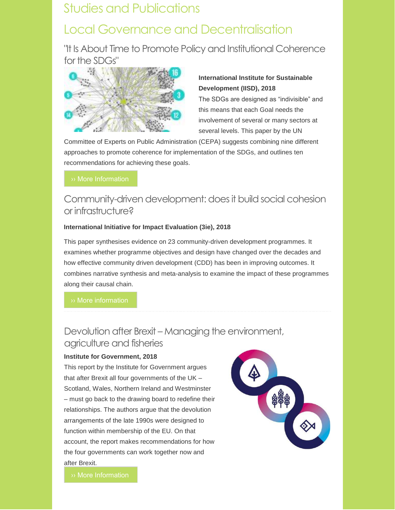## Studies and Publications

# Local Governance and Decentralisation

"It Is About Time to Promote Policy and Institutional Coherence for the SDGs"

![](_page_6_Picture_3.jpeg)

#### **International Institute for Sustainable Development (IISD), 2018**

The SDGs are designed as "indivisible" and this means that each Goal needs the involvement of several or many sectors at several levels. This paper by the UN

Committee of Experts on Public Administration (CEPA) suggests combining nine different approaches to promote coherence for implementation of the SDGs, and outlines ten recommendations for achieving these goals.

## Community-driven development: does it build social cohesion or infrastructure?

#### **International Initiative for Impact Evaluation (3ie), 2018**

This paper synthesises evidence on 23 community-driven development programmes. It examines whether programme objectives and design have changed over the decades and how effective community driven development (CDD) has been in improving outcomes. It combines narrative synthesis and meta-analysis to examine the impact of these programmes along their causal chain.

[›› More information](https://delog.org/web/mailster/10328/00000000000000000000000000000000/aHR0cDovL3d3dy4zaWVpbXBhY3Qub3JnL21lZGlhL2ZpbGVyX3B1YmxpYy8yMDE4LzAzLzEyL3dwMzAtY2RkLnBkZg)

## Devolution after Brexit – Managing the environment, agriculture and fisheries

#### **Institute for Government, 2018**

This report by the Institute for Government argues that after Brexit all four governments of the UK – Scotland, Wales, Northern Ireland and Westminster – must go back to the drawing board to redefine their relationships. The authors argue that the devolution arrangements of the late 1990s were designed to function within membership of the EU. On that account, the report makes recommendations for how the four governments can work together now and after Brexit.

![](_page_6_Picture_15.jpeg)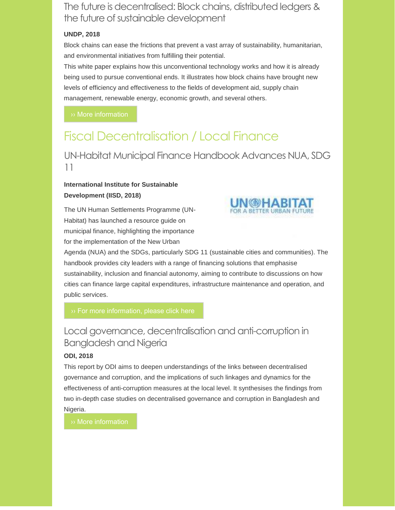The future is decentralised: Block chains, distributed ledgers & the future of sustainable development

#### **UNDP, 2018**

Block chains can ease the frictions that prevent a vast array of sustainability, humanitarian, and environmental initiatives from fulfilling their potential.

This white paper explains how this unconventional technology works and how it is already being used to pursue conventional ends. It illustrates how block chains have brought new levels of efficiency and effectiveness to the fields of development aid, supply chain management, renewable energy, economic growth, and several others.

## Fiscal Decentralisation / Local Finance

#### UN-Habitat Municipal Finance Handbook Advances NUA, SDG 11

#### **International Institute for Sustainable Development (IISD, 2018)**

The UN Human Settlements Programme (UN-Habitat) has launched a resource guide on municipal finance, highlighting the importance for the implementation of the New Urban

![](_page_7_Picture_9.jpeg)

Agenda (NUA) and the SDGs, particularly SDG 11 (sustainable cities and communities). The handbook provides city leaders with a range of financing solutions that emphasise sustainability, inclusion and financial autonomy, aiming to contribute to discussions on how cities can finance large capital expenditures, infrastructure maintenance and operation, and public services.

## Local governance, decentralisation and anti-corruption in Bangladesh and Nigeria

#### **ODI, 2018**

This report by ODI aims to deepen understandings of the links between decentralised governance and corruption, and the implications of such linkages and dynamics for the effectiveness of anti-corruption measures at the local level. It synthesises the findings from two in-depth case studies on decentralised governance and corruption in Bangladesh and Nigeria.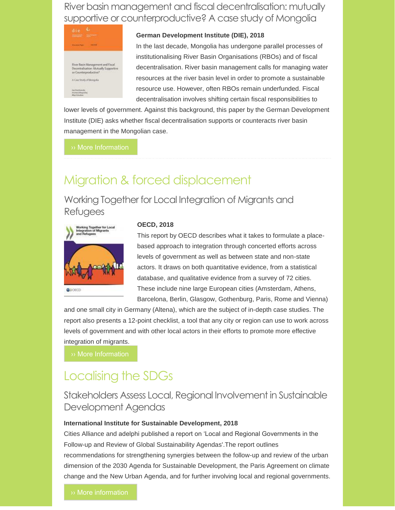River basin management and fiscal decentralisation: mutually supportive or counterproductive? A case study of Mongolia

![](_page_8_Picture_1.jpeg)

#### **German Development Institute (DIE), 2018**

In the last decade, Mongolia has undergone parallel processes of institutionalising River Basin Organisations (RBOs) and of fiscal decentralisation. River basin management calls for managing water resources at the river basin level in order to promote a sustainable resource use. However, often RBOs remain underfunded. Fiscal decentralisation involves shifting certain fiscal responsibilities to

lower levels of government. Against this background, this paper by the German Development Institute (DIE) asks whether fiscal decentralisation supports or counteracts river basin management in the Mongolian case.

# Migration & forced displacement

Working Together for Local Integration of Migrants and Refugees

![](_page_8_Picture_8.jpeg)

#### **OECD, 2018**

This report by OECD describes what it takes to formulate a placebased approach to integration through concerted efforts across levels of government as well as between state and non-state actors. It draws on both quantitative evidence, from a statistical database, and qualitative evidence from a survey of 72 cities. These include nine large European cities (Amsterdam, Athens, Barcelona, Berlin, Glasgow, Gothenburg, Paris, Rome and Vienna)

and one small city in Germany (Altena), which are the subject of in-depth case studies. The report also presents a 12-point checklist, a tool that any city or region can use to work across levels of government and with other local actors in their efforts to promote more effective integration of migrants.

[›› More Information](https://delog.org/web/mailster/10328/00000000000000000000000000000000/aHR0cHM6Ly93d3cub2VjZC1pbGlicmFyeS5vcmcvc29jaWFsLWlzc3Vlcy1taWdyYXRpb24taGVhbHRoL3dvcmtpbmctdG9nZXRoZXItZm9yLWxvY2FsLWludGVncmF0aW9uLW9mLW1pZ3JhbnRzLWFuZC1yZWZ1Z2Vlc185Nzg5MjY0MDg1MzUwLWVu)

## Localising the SDGs

#### Stakeholders Assess Local, Regional Involvement in Sustainable Development Agendas

#### **International Institute for Sustainable Development, 2018**

Cities Alliance and adelphi published a report on 'Local and Regional Governments in the Follow-up and Review of Global Sustainability Agendas'.The report outlines recommendations for strengthening synergies between the follow-up and review of the urban dimension of the 2030 Agenda for Sustainable Development, the Paris Agreement on climate

change and the New Urban Agenda, and for further involving local and regional governments.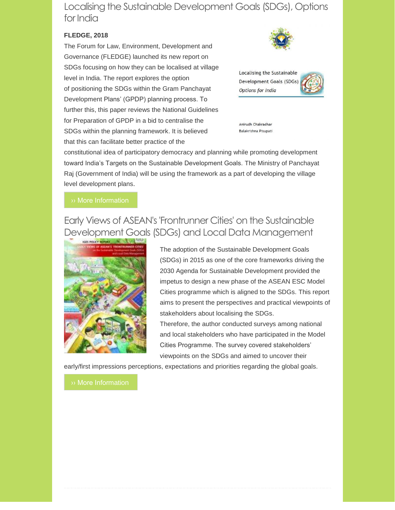Localising the Sustainable Development Goals (SDGs), Options for India

#### **FLEDGE, 2018**

The Forum for Law, Environment, Development and Governance (FLEDGE) launched its new report on SDGs focusing on how they can be localised at village level in India. The report explores the option of positioning the SDGs within the Gram Panchayat Development Plans' (GPDP) planning process. To further this, this paper reviews the National Guidelines for Preparation of GPDP in a bid to centralise the SDGs within the planning framework. It is believed that this can facilitate better practice of the

![](_page_9_Picture_3.jpeg)

Localising the Sustainable Development Goals (SDGs) Options for India

![](_page_9_Picture_5.jpeg)

Anirudh Chakradhar Balakrishna Pisupati

constitutional idea of participatory democracy and planning while promoting development toward India's Targets on the Sustainable Development Goals. The Ministry of Panchayat Raj (Government of India) will be using the framework as a part of developing the village level development plans.

## Early Views of ASEAN's 'Frontrunner Cities' on the Sustainable Development Goals (SDGs) and Local Data Management

![](_page_9_Picture_10.jpeg)

The adoption of the Sustainable Development Goals (SDGs) in 2015 as one of the core frameworks driving the 2030 Agenda for Sustainable Development provided the impetus to design a new phase of the ASEAN ESC Model Cities programme which is aligned to the SDGs. This report aims to present the perspectives and practical viewpoints of stakeholders about localising the SDGs.

Therefore, the author conducted surveys among national and local stakeholders who have participated in the Model Cities Programme. The survey covered stakeholders' viewpoints on the SDGs and aimed to uncover their

early/first impressions perceptions, expectations and priorities regarding the global goals.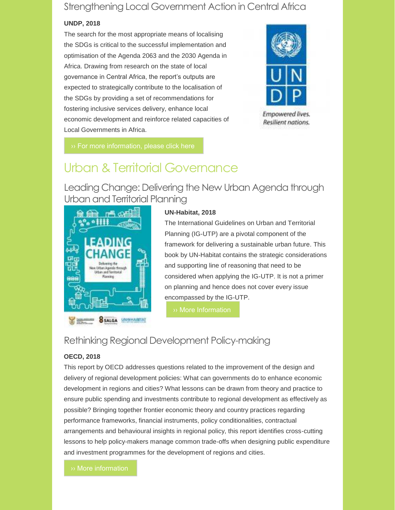## Strengthening Local Government Action in Central Africa

#### **UNDP, 2018**

The search for the most appropriate means of localising the SDGs is critical to the successful implementation and optimisation of the Agenda 2063 and the 2030 Agenda in Africa. Drawing from research on the state of local governance in Central Africa, the report's outputs are expected to strategically contribute to the localisation of the SDGs by providing a set of recommendations for fostering inclusive services delivery, enhance local economic development and reinforce related capacities of Local Governments in Africa.

![](_page_10_Picture_3.jpeg)

Empowered lives. Resilient nations.

# Urban & Territorial Governance

Leading Change: Delivering the New Urban Agenda through Urban and Territorial Planning

![](_page_10_Picture_8.jpeg)

#### **UN-Habitat, 2018**

The International Guidelines on Urban and Territorial Planning (IG-UTP) are a pivotal component of the framework for delivering a sustainable urban future. This book by UN-Habitat contains the strategic considerations and supporting line of reasoning that need to be considered when applying the IG-UTP. It is not a primer on planning and hence does not cover every issue encompassed by the IG-UTP.

[›› More Information](https://delog.org/web/mailster/10328/00000000000000000000000000000000/aHR0cHM6Ly91bmhhYml0YXQub3JnL2Jvb2tzL2xlYWRpbmctY2hhbmdlLWRlbGl2ZXJpbmctdGhlLW5ldy11cmJhbi1hZ2VuZGEtdGhyb3VnaC11cmJhbi1hbmQtdGVycml0b3JpYWwtcGxhbm5pbmcv)

## Rethinking Regional Development Policy-making

#### **OECD, 2018**

This report by OECD addresses questions related to the improvement of the design and delivery of regional development policies: What can governments do to enhance economic development in regions and cities? What lessons can be drawn from theory and practice to ensure public spending and investments contribute to regional development as effectively as possible? Bringing together frontier economic theory and country practices regarding performance frameworks, financial instruments, policy conditionalities, contractual arrangements and behavioural insights in regional policy, this report identifies cross-cutting lessons to help policy-makers manage common trade-offs when designing public expenditure and investment programmes for the development of regions and cities.